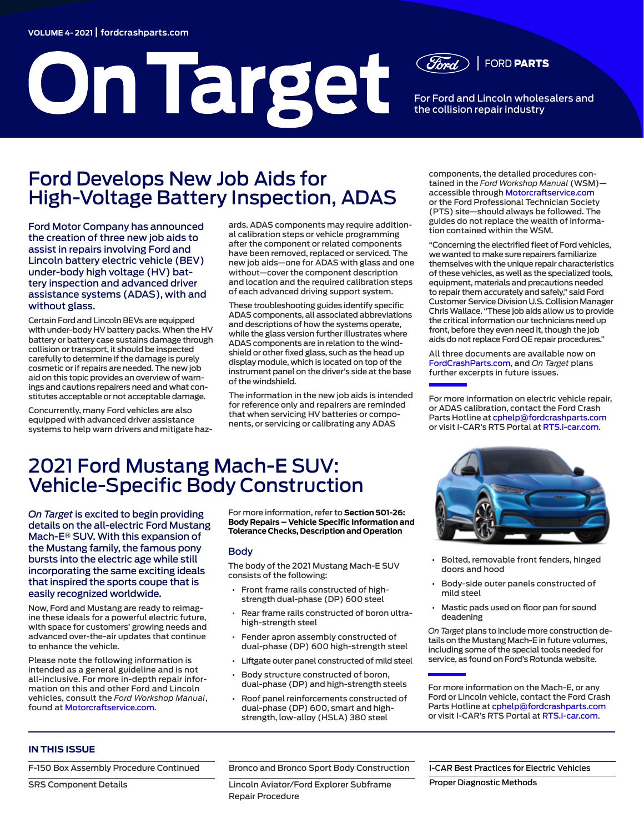# **On Target**

**FORD PARTS** 

For Ford and Lincoln wholesalers and the collision repair industry

## Ford Develops New Job Aids for High-Voltage Battery Inspection, ADAS

Ford Motor Company has announced the creation of three new job aids to assist in repairs involving Ford and Lincoln battery electric vehicle (BEV) under-body high voltage (HV) battery inspection and advanced driver assistance systems (ADAS), with and without glass.

Certain Ford and Lincoln BEVs are equipped with under-body HV battery packs. When the HV battery or battery case sustains damage through collision or transport, it should be inspected carefully to determine if the damage is purely cosmetic or if repairs are needed. The new job aid on this topic provides an overview of warnings and cautions repairers need and what constitutes acceptable or not acceptable damage.

Concurrently, many Ford vehicles are also equipped with advanced driver assistance systems to help warn drivers and mitigate haz-

ards. ADAS components may require additional calibration steps or vehicle programming after the component or related components have been removed, replaced or serviced. The new job aids—one for ADAS with glass and one without—cover the component description and location and the required calibration steps of each advanced driving support system.

These troubleshooting guides identify specific ADAS components, all associated abbreviations and descriptions of how the systems operate, while the glass version further illustrates where ADAS components are in relation to the windshield or other fixed glass, such as the head up display module, which is located on top of the instrument panel on the driver's side at the base of the windshield.

The information in the new job aids is intended for reference only and repairers are reminded that when servicing HV batteries or components, or servicing or calibrating any ADAS

components, the detailed procedures contained in the *Ford Workshop Manual* (WSM) accessible through [Motorcraftservice.com](https://www.motorcraftservice.com/Home/SetCountry?returnUrl=%2F) or the Ford Professional Technician Society (PTS) site—should always be followed. The guides do not replace the wealth of information contained within the WSM.

"Concerning the electrified fleet of Ford vehicles, we wanted to make sure repairers familiarize themselves with the unique repair characteristics of these vehicles, as well as the specialized tools, equipment, materials and precautions needed to repair them accurately and safely," said Ford Customer Service Division U.S. Collision Manager Chris Wallace. "These job aids allow us to provide the critical information our technicians need up front, before they even need it, though the job aids do not replace Ford OE repair procedures."

All three documents are available now on [FordCrashParts.com,](http://FordCrashParts.com) and *On Target* plans further excerpts in future issues.

For more information on electric vehicle repair, or ADAS calibration, contact the Ford Crash Parts Hotline at [cphelp@fordcrashparts.com](mailto:cphelp%40fordcrashparts.com?subject=) or visit I-CAR's RTS Portal at [RTS.i-car.com](http://RTS.i-car.com).

# 2021 Ford Mustang Mach-E SUV: Vehicle-Specific Body Construction

*On Target* is excited to begin providing details on the all-electric Ford Mustang Mach-E® SUV. With this expansion of the Mustang family, the famous pony bursts into the electric age while still incorporating the same exciting ideals that inspired the sports coupe that is easily recognized worldwide.

Now, Ford and Mustang are ready to reimagine these ideals for a powerful electric future, with space for customers' growing needs and advanced over-the-air updates that continue to enhance the vehicle.

Please note the following information is intended as a general guideline and is not all-inclusive. For more in-depth repair information on this and other Ford and Lincoln vehicles, consult the *Ford Workshop Manual*, found at [Motorcraftservice.com.](https://www.motorcraftservice.com/Home/SetCountry?returnUrl=%2F)

For more information, refer to **Section 501-26: Body Repairs – Vehicle Specific Information and Tolerance Checks, Description and Operation**

#### Body

The body of the 2021 Mustang Mach-E SUV consists of the following:

- Front frame rails constructed of highstrength dual-phase (DP) 600 steel
- Rear frame rails constructed of boron ultrahigh-strength steel
- Fender apron assembly constructed of dual-phase (DP) 600 high-strength steel
- Liftgate outer panel constructed of mild steel
- Body structure constructed of boron, dual-phase (DP) and high-strength steels
- Roof panel reinforcements constructed of dual-phase (DP) 600, smart and highstrength, low-alloy (HSLA) 380 steel



- Bolted, removable front fenders, hinged doors and hood
- Body-side outer panels constructed of mild steel
- Mastic pads used on floor pan for sound deadening

*On Target* plans to include more construction details on the Mustang Mach-E in future volumes, including some of the special tools needed for service, as found on Ford's Rotunda website.

For more information on the Mach-E, or any Ford or Lincoln vehicle, contact the Ford Crash Parts Hotline at [cphelp@fordcrashparts.com](mailto:cphelp%40fordcrashparts.com?subject=) or visit I-CAR's RTS Portal at [RTS.i-car.com.](http://RTS.i-car.com)

#### **IN THIS ISSUE**

[F-150 Box Assembly Procedure](#page-4-0) Continued

[SRS Component Details](#page-2-0)

[Bronco and Bronco Sport Body Construction](#page-1-0)

[Lincoln Aviator/Ford Explorer Subframe](#page-2-1)  [Repair Procedure](#page-2-1)

[I-CAR Best Practices for Electric Vehicles](#page-5-0)

[Proper Diagnostic Methods](#page-3-0)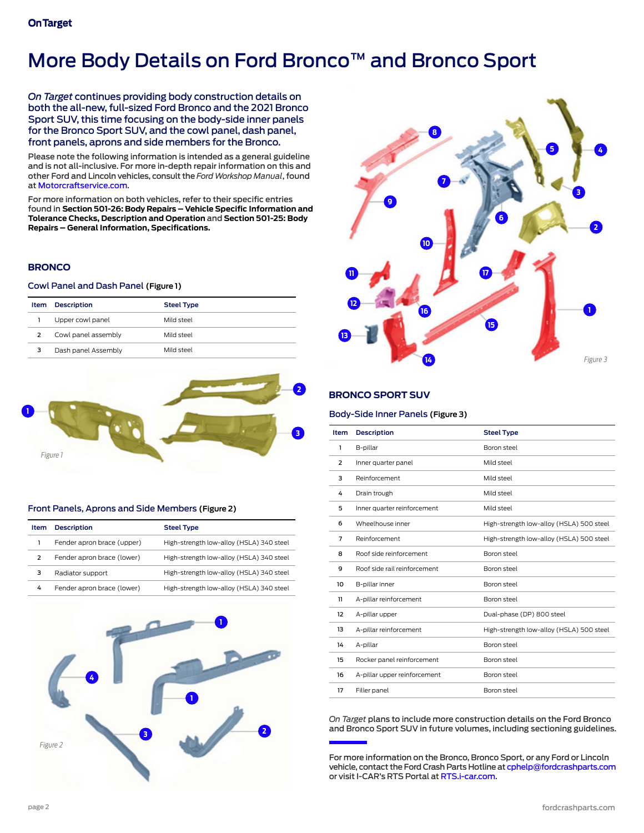# <span id="page-1-0"></span>More Body Details on Ford Bronco™ and Bronco Sport

*On Target* continues providing body construction details on both the all-new, full-sized Ford Bronco and the 2021 Bronco Sport SUV, this time focusing on the body-side inner panels for the Bronco Sport SUV, and the cowl panel, dash panel, front panels, aprons and side members for the Bronco.

Please note the following information is intended as a general guideline and is not all-inclusive. For more in-depth repair information on this and other Ford and Lincoln vehicles, consult the *Ford Workshop Manual*, found at [Motorcraftservice.com](https://www.motorcraftservice.com/Home/SetCountry?returnUrl=%2F).

For more information on both vehicles, refer to their specific entries found in **Section 501-26: Body Repairs – Vehicle Specific Information and Tolerance Checks, Description and Operation** and **Section 501-25: Body Repairs – General Information, Specifications.**

#### **BRONCO**

#### Cowl Panel and Dash Panel **(Figure 1)**

| Item | <b>Description</b>  | <b>Steel Type</b> |
|------|---------------------|-------------------|
|      | Upper cowl panel    | leetz bliM        |
| 2    | Cowl panel assembly | leetz bliM        |
| 3    | Dash panel Assembly | leetz bliM        |
|      |                     |                   |



#### Front Panels, Aprons and Side Members **(Figure 2)**

| Item | <b>Description</b>         | <b>Steel Type</b>                        |
|------|----------------------------|------------------------------------------|
|      | Fender apron brace (upper) | High-strength low-alloy (HSLA) 340 steel |
| 2    | Fender apron brace (lower) | High-strength low-alloy (HSLA) 340 steel |
| з    | Radiator support           | High-strength low-alloy (HSLA) 340 steel |
| 4    | Fender apron brace (lower) | High-strength low-alloy (HSLA) 340 steel |





#### **BRONCO SPORT SUV**

#### Body-Side Inner Panels **(Figure 3)**

| <b>Item</b> | <b>Description</b>           | <b>Steel Type</b>                        |
|-------------|------------------------------|------------------------------------------|
| 1           | B-pillar                     | Boron steel                              |
| 2           | Inner quarter panel          | Mild steel                               |
| 3           | Reinforcement                | Mild steel                               |
| 4           | Drain trough                 | Mild steel                               |
| 5           | Inner quarter reinforcement  | Mild steel                               |
| 6           | Wheelhouse inner             | High-strength low-alloy (HSLA) 500 steel |
| 7           | Reinforcement                | High-strength low-alloy (HSLA) 500 steel |
| 8           | Roof side reinforcement      | Boron steel                              |
| 9           | Roof side rail reinforcement | Boron steel                              |
| 10          | B-pillar inner               | Boron steel                              |
| 11          | A-pillar reinforcement       | Boron steel                              |
| 12          | A-pillar upper               | Dual-phase (DP) 800 steel                |
| 13          | A-pillar reinforcement       | High-strength low-alloy (HSLA) 500 steel |
| 14          | A-pillar                     | Boron steel                              |
| 15          | Rocker panel reinforcement   | Boron steel                              |
| 16          | A-pillar upper reinforcement | Boron steel                              |
| 17          | Filler panel                 | Boron steel                              |

*On Target* plans to include more construction details on the Ford Bronco and Bronco Sport SUV in future volumes, including sectioning guidelines.

For more information on the Bronco, Bronco Sport, or any Ford or Lincoln vehicle, contact the Ford Crash Parts Hotline at [cphelp@fordcrashparts.com](mailto:cphelp%40fordcrashparts.com?subject=) or visit I-CAR's RTS Portal at [RTS.i-car.com](http://RTS.i-car.com).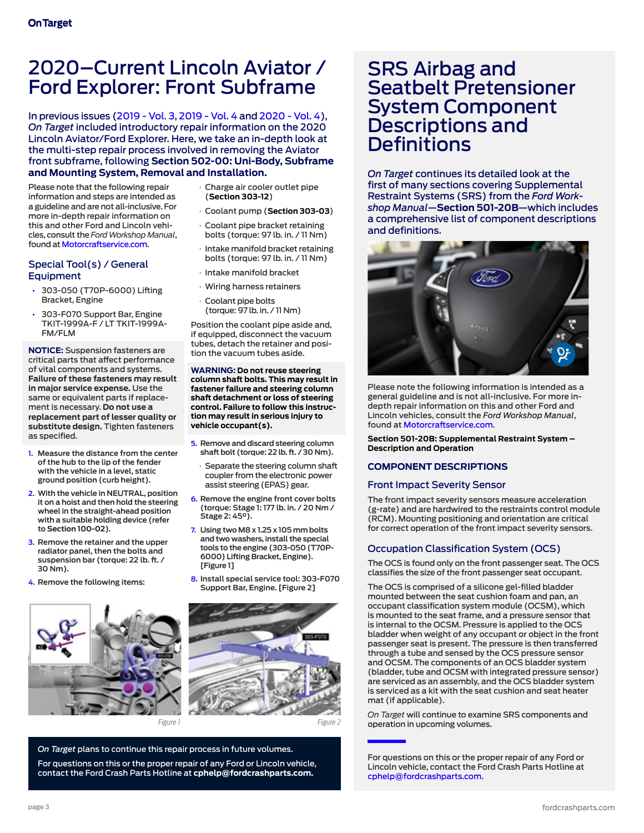## <span id="page-2-1"></span>2020–Current Lincoln Aviator / Ford Explorer: Front Subframe

In previous issues [\(2019 - Vol. 3](https://fordcrashparts.com/wp-content/uploads/2020/12/On-Target-2019-Vol.-3-FINAL-10-24-19.pdf), [2019 - Vol. 4](https://fordcrashparts.com/wp-content/uploads/2020/12/On-Target-2019-Vol4-12-18-19.pdf) and [2020 - Vol. 4\)](https://fordcrashparts.com/wp-content/uploads/2020/12/On-Target-2020-Vol.-4-FINAL-12-7-20.pdf), *On Target* included introductory repair information on the 2020 Lincoln Aviator/Ford Explorer. Here, we take an in-depth look at the multi-step repair process involved in removing the Aviator front subframe, following **Section 502-00: Uni-Body, Subframe and Mounting System, Removal and Installation.**

Please note that the following repair information and steps are intended as a guideline and are not all-inclusive. For more in-depth repair information on this and other Ford and Lincoln vehicles, consult the *Ford Workshop Manual*, found at [Motorcraftservice.com.](https://www.motorcraftservice.com/Home/SetCountry?returnUrl=%2F)

#### Special Tool(s) / General **Equipment**

- 303-050 (T70P-6000) Lifting Bracket, Engine
- 303-F070 Support Bar, Engine TKIT-1999A-F / LT TKIT-1999A-FM/FLM

**NOTICE:** Suspension fasteners are critical parts that affect performance of vital components and systems. **Failure of these fasteners may result in major service expense.** Use the same or equivalent parts if replacement is necessary. **Do not use a replacement part of lesser quality or substitute design.** Tighten fasteners as specified.

- **1. Measure the distance from the center of the hub to the lip of the fender with the vehicle in a level, static ground position (curb height).**
- **2. With the vehicle in NEUTRAL, position it on a hoist and then hold the steering wheel in the straight-ahead position with a suitable holding device (refer to Section 100-02).**
- **3. Remove the retainer and the upper radiator panel, then the bolts and suspension bar (torque: 22 lb. ft. / 30 Nm).**
- **4. Remove the following items:**



- Charge air cooler outlet pipe (**Section 303-12**)
- Coolant pump (**Section 303-03**)
- Coolant pipe bracket retaining bolts (torque: 97 lb. in. / 11 Nm)
- Intake manifold bracket retaining bolts (torque: 97 lb. in. / 11 Nm)
- Intake manifold bracket
- Wiring harness retainers
- Coolant pipe bolts (torque: 97 lb. in. / 11 Nm)

Position the coolant pipe aside and, if equipped, disconnect the vacuum tubes, detach the retainer and position the vacuum tubes aside.

**WARNING: Do not reuse steering column shaft bolts. This may result in fastener failure and steering column shaft detachment or loss of steering control. Failure to follow this instruction may result in serious injury to vehicle occupant(s).**

- **5. Remove and discard steering column shaft bolt (torque: 22 lb. ft. / 30 Nm).**
	- Separate the steering column shaft coupler from the electronic power assist steering (EPAS) gear.
- **6. Remove the engine front cover bolts (torque: Stage 1: 177 lb. in. / 20 Nm / Stage 2: 45°).**
- **7. Using two M8 x 1.25 x 105 mm bolts and two washers, install the special tools to the engine (303-050 (T70P-6000) Lifting Bracket, Engine). [Figure 1]**
- **8. Install special service tool: 303-F070 Support Bar, Engine. [Figure 2]**



*On Target* plans to continue this repair process in future volumes.

For questions on this or the proper repair of any Ford or Lincoln vehicle, contact the Ford Crash Parts Hotline at **cphelp@fordcrashparts.com.** 

## <span id="page-2-0"></span>SRS Airbag and Seatbelt Pretensioner System Component Descriptions and Definitions

*On Target* continues its detailed look at the first of many sections covering Supplemental Restraint Systems (SRS) from the *Ford Workshop Manual*—**Section 501-20B**—which includes a comprehensive list of component descriptions and definitions.



Please note the following information is intended as a general guideline and is not all-inclusive. For more indepth repair information on this and other Ford and Lincoln vehicles, consult the *Ford Workshop Manual*, found at [Motorcraftservice.com.](https://www.motorcraftservice.com/Home/SetCountry?returnUrl=%2F)

**Section 501-20B: Supplemental Restraint System – Description and Operation**

#### **COMPONENT DESCRIPTIONS**

#### Front Impact Severity Sensor

The front impact severity sensors measure acceleration (g-rate) and are hardwired to the restraints control module (RCM). Mounting positioning and orientation are critical for correct operation of the front impact severity sensors.

#### Occupation Classification System (OCS)

The OCS is found only on the front passenger seat. The OCS classifies the size of the front passenger seat occupant.

The OCS is comprised of a silicone gel-filled bladder mounted between the seat cushion foam and pan, an occupant classification system module (OCSM), which is mounted to the seat frame, and a pressure sensor that is internal to the OCSM. Pressure is applied to the OCS bladder when weight of any occupant or object in the front passenger seat is present. The pressure is then transferred through a tube and sensed by the OCS pressure sensor and OCSM. The components of an OCS bladder system (bladder, tube and OCSM with integrated pressure sensor) are serviced as an assembly, and the OCS bladder system is serviced as a kit with the seat cushion and seat heater mat (if applicable).

*On Target* will continue to examine SRS components and operation in upcoming volumes.

For questions on this or the proper repair of any Ford or Lincoln vehicle, contact the Ford Crash Parts Hotline at [cphelp@fordcrashparts.com](mailto:cphelp%40fordcrashparts.com?subject=).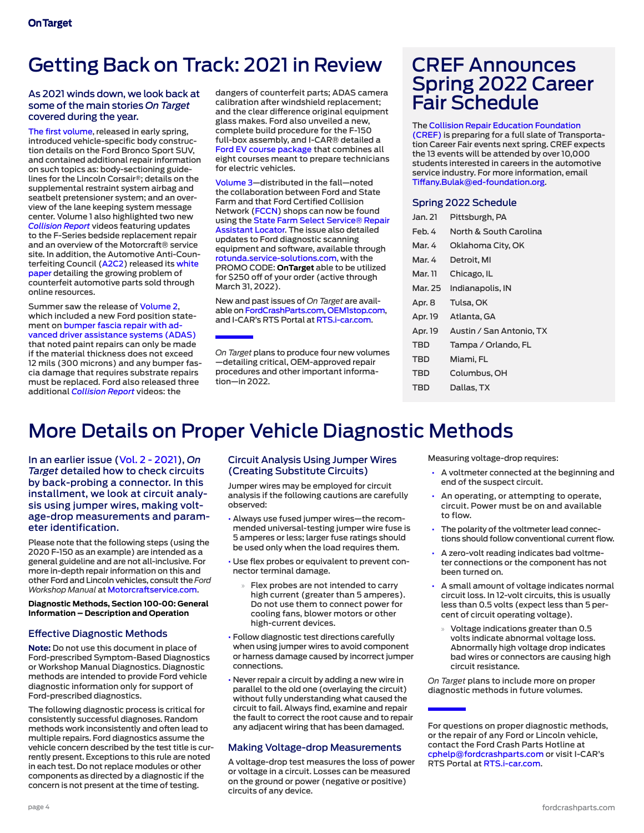# Getting Back on Track: 2021 in Review

#### As 2021 winds down, we look back at some of the main stories *On Target* covered during the year.

[The first volume,](https://fordcrashparts.com/wp-content/uploads/2021/04/On-Target-2021-Vol.1-FNL-3-31-21.pdf) released in early spring. introduced vehicle-specific body construction details on the Ford Bronco Sport SUV, and contained additional repair information on such topics as: body-sectioning guidelines for the Lincoln Corsair®; details on the supplemental restraint system airbag and seatbelt pretensioner system; and an overview of the lane keeping system message center. Volume 1 also highlighted two new *[Collision Report](https://fordcrashparts.com/collision-repair-videos/)* videos featuring updates to the F-Series bedside replacement repair and an overview of the Motorcraft® service site. In addition, the Automotive Anti-Counterfeiting Council [\(A2C2\)](https://a2c2.com/) released its [white](https://www.a2c2.com/sites/default/files/A2C2_WHITEPAPER_FINAL(Nov2020).pdf)  [paper](https://www.a2c2.com/sites/default/files/A2C2_WHITEPAPER_FINAL(Nov2020).pdf) detailing the growing problem of counterfeit automotive parts sold through online resources.

Summer saw the release of [Volume 2](https://fordcrashparts.com/wp-content/uploads/2021/08/On-Target-2021-Vol.-2-FNL-RV-8-27-21.pdf), which included a new Ford position statement on [bumper fascia repair with ad](https://fordcrashparts.com/wp-content/uploads/2021/06/Ford_Bumper-Fascia-Position-Statement_FNL_Updated-6-28-21.pdf)[vanced driver assistance systems \(ADAS\)](https://fordcrashparts.com/wp-content/uploads/2021/06/Ford_Bumper-Fascia-Position-Statement_FNL_Updated-6-28-21.pdf) that noted paint repairs can only be made if the material thickness does not exceed 12 mils (300 microns) and any bumper fascia damage that requires substrate repairs must be replaced. Ford also released three additional *[Collision Rep](https://fordcrashparts.com/collision-repair-videos/)ort* videos: the

dangers of counterfeit parts; ADAS camera calibration after windshield replacement; and the clear difference original equipment glass makes. Ford also unveiled a new, complete build procedure for the F-150 full-box assembly, and I-CAR® detailed a [Ford EV course package](https://www.i-car.com/s/product-detail?productId=a1R1I000003fBOxUAM) that combines all eight courses meant to prepare technicians for electric vehicles.

[Volume 3](https://fordcrashparts.com/wp-content/uploads/2021/10/On-Target-2021-Vol.-3-FINAL-9-29-21.pdf)—distributed in the fall—noted the collaboration between Ford and State Farm and that Ford Certified Collision Network ([FCCN](https://collision.ford.com/fordcertifiedcollisionnetwork)) shops can now be found using the [State Farm Select Service® Repair](https://www.statefarm.com/claims/claims-help/auto/repair-services)  [Assistant Locator.](https://www.statefarm.com/claims/claims-help/auto/repair-services) The issue also detailed updates to Ford diagnostic scanning equipment and software, available through [rotunda.service-solutions.com](https://rotunda.service-solutions.com/en-US/Pages/Home.aspx), with the PROMO CODE: **OnTarget** able to be utilized for \$250 off of your order (active through March 31, 2022).

New and past issues of *On Target* are available on [FordCrashParts.com](https://fordcrashparts.com/on-target/), [OEM1stop.com](https://www.oem1stop.com/content/ford), and I-CAR's RTS Portal at [RTS.i-car.com.](https://rts.i-car.com/)

*On Target* plans to produce four new volumes —detailing critical, OEM-approved repair procedures and other important information—in 2022.

## CREF Announces Spring 2022 Career Fair Schedule

The [Collision Repair Education Foundation](https://www.collisioneducationfoundation.org/)  [\(CREF\)](https://www.collisioneducationfoundation.org/) is preparing for a full slate of Transportation Career Fair events next spring. CREF expects the 13 events will be attended by over 10,000 students interested in careers in the automotive service industry. For more information, email [Tiffany.Bulak@ed-foundation.org](mailto:Tiffany.Bulak%40ed-foundation.org?subject=).

#### Spring 2022 Schedule

| Jan. 21 | Pittsburgh, PA           |  |  |
|---------|--------------------------|--|--|
| Feb. 4  | North & South Carolina   |  |  |
| Mar. 4  | Oklahoma City, OK        |  |  |
| Mar. 4  | Detroit, MI              |  |  |
| Mar. 11 | Chicago, IL              |  |  |
| Mar. 25 | Indianapolis, IN         |  |  |
| Apr. 8  | Tulsa, OK                |  |  |
| Apr. 19 | Atlanta, GA              |  |  |
| Apr. 19 | Austin / San Antonio, TX |  |  |
| TBD     | Tampa / Orlando, FL      |  |  |
| TBD     | Miami, FL                |  |  |
| TBD     | Columbus, OH             |  |  |
| TBD     | Dallas, TX               |  |  |

# <span id="page-3-0"></span>More Details on Proper Vehicle Diagnostic Methods

In an earlier issue [\(Vol. 2 - 2021\)](https://fordcrashparts.com/wp-content/uploads/2021/08/On-Target-2021-Vol.-2-FNL-RV-8-27-21.pdf), *On Target* detailed how to check circuits by back-probing a connector. In this installment, we look at circuit analysis using jumper wires, making voltage-drop measurements and parameter identification.

Please note that the following steps (using the 2020 F-150 as an example) are intended as a general guideline and are not all-inclusive. For more in-depth repair information on this and other Ford and Lincoln vehicles, consult the *Ford Workshop Manual* at [Motorcraftservice.com](https://www.motorcraftservice.com/Home/SetCountry?returnUrl=/).

**Diagnostic Methods, Section 100-00: General Information – Description and Operation**

#### Effective Diagnostic Methods

**Note:** Do not use this document in place of Ford-prescribed Symptom-Based Diagnostics or Workshop Manual Diagnostics. Diagnostic methods are intended to provide Ford vehicle diagnostic information only for support of Ford-prescribed diagnostics.

The following diagnostic process is critical for consistently successful diagnoses. Random methods work inconsistently and often lead to multiple repairs. Ford diagnostics assume the vehicle concern described by the test title is currently present. Exceptions to this rule are noted in each test. Do not replace modules or other components as directed by a diagnostic if the concern is not present at the time of testing.

#### Circuit Analysis Using Jumper Wires (Creating Substitute Circuits)

Jumper wires may be employed for circuit analysis if the following cautions are carefully observed:

- Always use fused jumper wires—the recommended universal-testing jumper wire fuse is 5 amperes or less; larger fuse ratings should be used only when the load requires them.
- Use flex probes or equivalent to prevent connector terminal damage.
	- » Flex probes are not intended to carry high current (greater than 5 amperes). Do not use them to connect power for cooling fans, blower motors or other high-current devices.
- Follow diagnostic test directions carefully when using jumper wires to avoid component or harness damage caused by incorrect jumper connections.
- Never repair a circuit by adding a new wire in parallel to the old one (overlaying the circuit) without fully understanding what caused the circuit to fail. Always find, examine and repair the fault to correct the root cause and to repair any adjacent wiring that has been damaged.

#### Making Voltage-drop Measurements

A voltage-drop test measures the loss of power or voltage in a circuit. Losses can be measured on the ground or power (negative or positive) circuits of any device.

Measuring voltage-drop requires:

- A voltmeter connected at the beginning and end of the suspect circuit.
- An operating, or attempting to operate, circuit. Power must be on and available to flow.
- The polarity of the voltmeter lead connections should follow conventional current flow.
- A zero-volt reading indicates bad voltmeter connections or the component has not been turned on.
- A small amount of voltage indicates normal circuit loss. In 12-volt circuits, this is usually less than 0.5 volts (expect less than 5 percent of circuit operating voltage).
- » Voltage indications greater than 0.5 volts indicate abnormal voltage loss. Abnormally high voltage drop indicates bad wires or connectors are causing high circuit resistance.

*On Target* plans to include more on proper diagnostic methods in future volumes.

For questions on proper diagnostic methods, or the repair of any Ford or Lincoln vehicle, contact the Ford Crash Parts Hotline at [cphelp@fordcrashparts.com](mailto:cphelp%40fordcrashparts.com?subject=) or visit I-CAR's RTS Portal at [RTS.i-car.com](http://RTS.i-car.com).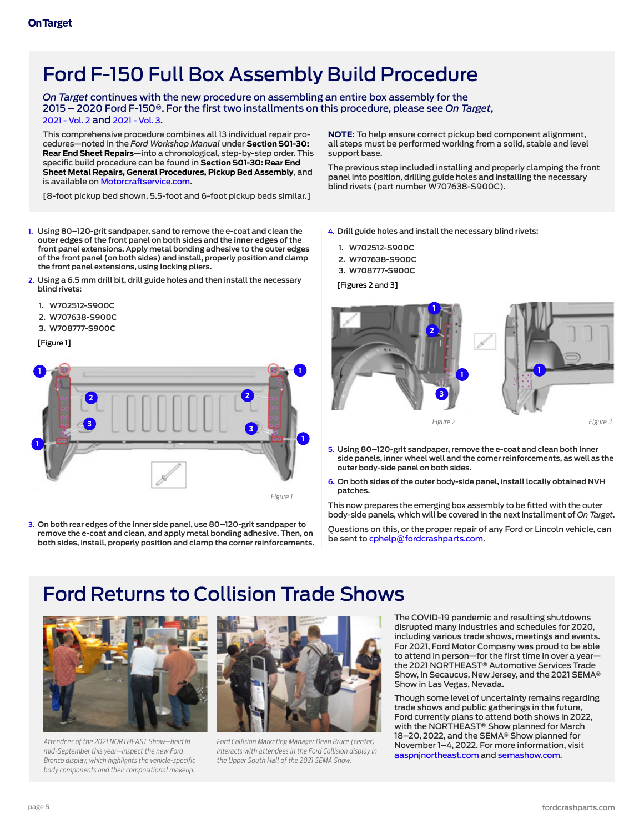# <span id="page-4-0"></span>Ford F-150 Full Box Assembly Build Procedure

*On Target* continues with the new procedure on assembling an entire box assembly for the 2015 – 2020 Ford F-150®. For the first two installments on this procedure, please see *On Target*, [2021 - Vol. 2](https://fordcrashparts.com/wp-content/uploads/2021/08/On-Target-2021-Vol.-2-FNL-RV-8-27-21.pdf) and [2021 - Vol. 3.](https://fordcrashparts.com/wp-content/uploads/2021/10/On-Target-2021-Vol.-3-FINAL-9-29-21.pdf)

This comprehensive procedure combines all 13 individual repair procedures—noted in the *Ford Workshop Manual* under **Section 501-30: Rear End Sheet Repairs**—into a chronological, step-by-step order. This specific build procedure can be found in **Section 501-30: Rear End Sheet Metal Repairs, General Procedures, Pickup Bed Assembly**, and is available on [Motorcraftservice.com.](https://www.motorcraftservice.com/Home/SetCountry?returnUrl=/)

[8-foot pickup bed shown. 5.5-foot and 6-foot pickup beds similar.]

**1. Using 80–120-grit sandpaper, sand to remove the e-coat and clean the outer edges of the front panel on both sides and the inner edges of the front panel extensions. Apply metal bonding adhesive to the outer edges of the front panel (on both sides) and install, properly position and clamp the front panel extensions, using locking pliers.**

- **2. Using a 6.5 mm drill bit, drill guide holes and then install the necessary blind rivets:**
	- **1. W702512-S900C**
	- **2. W707638-S900C**
	- **3. W708777-S900C**

[Figure 1]



**3. On both rear edges of the inner side panel, use 80–120-grit sandpaper to remove the e-coat and clean, and apply metal bonding adhesive. Then, on both sides, install, properly position and clamp the corner reinforcements.** **NOTE:** To help ensure correct pickup bed component alignment, all steps must be performed working from a solid, stable and level support base.

The previous step included installing and properly clamping the front panel into position, drilling guide holes and installing the necessary blind rivets (part number W707638-S900C).

- **4. Drill guide holes and install the necessary blind rivets:** 
	- **1. W702512-S900C**
	- **2. W707638-S900C**
	- **3. W708777-S900C**

[Figures 2 and 3]



- **5. Using 80–120-grit sandpaper, remove the e-coat and clean both inner side panels, inner wheel well and the corner reinforcements, as well as the outer body-side panel on both sides.**
- **6. On both sides of the outer body-side panel, install locally obtained NVH patches.**

This now prepares the emerging box assembly to be fitted with the outer body-side panels, which will be covered in the next installment of *On Target*.

Questions on this, or the proper repair of any Ford or Lincoln vehicle, can be sent to [cphelp@fordcrashparts.com](mailto:cphelp%40fordcrashparts.com?subject=).

## Ford Returns to Collision Trade Shows



*Attendees of the 2021 NORTHEAST Show—held in mid-September this year—inspect the new Ford Bronco display, which highlights the vehicle-specific body components and their compositional makeup.*



*Ford Collision Marketing Manager Dean Bruce (center) interacts with attendees in the Ford Collision display in the Upper South Hall of the 2021 SEMA Show.*

The COVID-19 pandemic and resulting shutdowns disrupted many industries and schedules for 2020, including various trade shows, meetings and events. For 2021, Ford Motor Company was proud to be able to attend in person—for the first time in over a year the 2021 NORTHEAST® Automotive Services Trade Show, in Secaucus, New Jersey, and the 2021 SEMA® Show in Las Vegas, Nevada.

Though some level of uncertainty remains regarding trade shows and public gatherings in the future, Ford currently plans to attend both shows in 2022, with the NORTHEAST® Show planned for March 18–20, 2022, and the SEMA® Show planned for November 1–4, 2022. For more information, visit [aaspnjnortheast.com](http://aaspnjnortheast.com) and [semashow.com.](http://semashow.com)